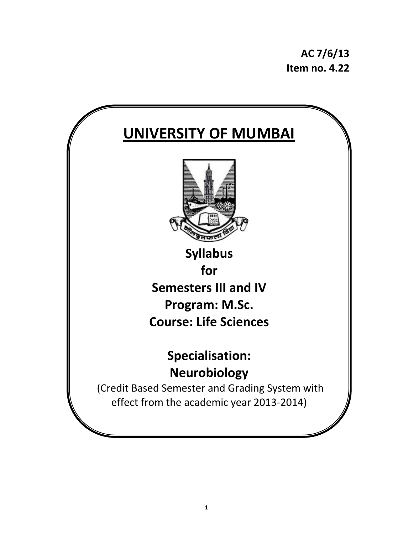**AC 7/6/13 Item no. 4.22**

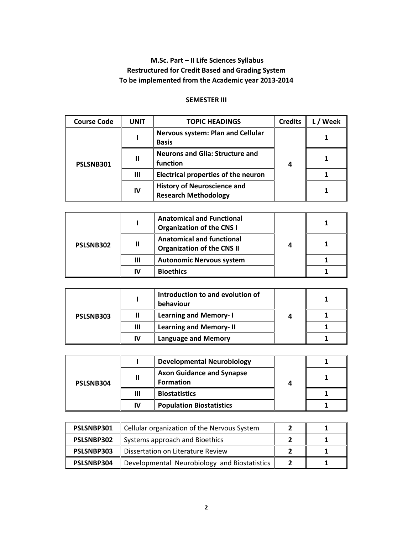# **M.Sc. Part – II Life Sciences Syllabus Restructured for Credit Based and Grading System To be implemented from the Academic year 2013‐2014**

## **SEMESTER III**

| <b>Course Code</b> | <b>UNIT</b> | <b>TOPIC HEADINGS</b>                                             | <b>Credits</b> | Week |
|--------------------|-------------|-------------------------------------------------------------------|----------------|------|
| PSLSNB301          |             | <b>Nervous system: Plan and Cellular</b><br><b>Basis</b>          |                |      |
|                    | Ш           | <b>Neurons and Glia: Structure and</b><br>function                |                |      |
|                    | Ш           | <b>Electrical properties of the neuron</b>                        |                |      |
|                    | IV          | <b>History of Neuroscience and</b><br><b>Research Methodology</b> |                |      |

| PSLSNB302 |    | <b>Anatomical and Functional</b><br><b>Organization of the CNS I</b>  |  |
|-----------|----|-----------------------------------------------------------------------|--|
|           | Ш  | <b>Anatomical and functional</b><br><b>Organization of the CNS II</b> |  |
|           | Ш  | <b>Autonomic Nervous system</b>                                       |  |
|           | IV | <b>Bioethics</b>                                                      |  |

| PSLSNB303 |    | Introduction to and evolution of<br>behaviour |  |
|-----------|----|-----------------------------------------------|--|
|           |    | <b>Learning and Memory-I</b>                  |  |
|           | Ш  | <b>Learning and Memory-II</b>                 |  |
|           | IV | <b>Language and Memory</b>                    |  |

| PSLSNB304 |    | <b>Developmental Neurobiology</b>                    |  |  |
|-----------|----|------------------------------------------------------|--|--|
|           |    | <b>Axon Guidance and Synapse</b><br><b>Formation</b> |  |  |
|           | Ш  | <b>Biostatistics</b>                                 |  |  |
|           | ľV | <b>Population Biostatistics</b>                      |  |  |

| PSLSNBP301 | Cellular organization of the Nervous System  |  |
|------------|----------------------------------------------|--|
| PSLSNBP302 | Systems approach and Bioethics               |  |
| PSLSNBP303 | Dissertation on Literature Review            |  |
| PSLSNBP304 | Developmental Neurobiology and Biostatistics |  |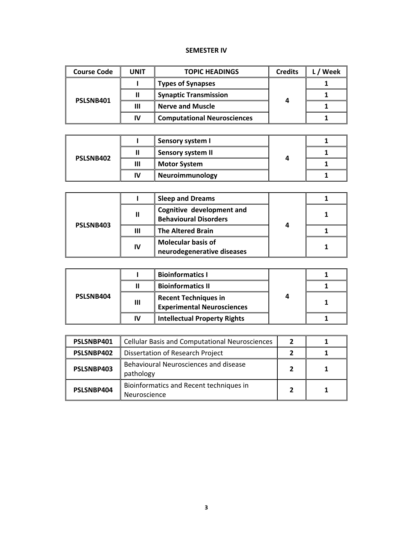## **SEMESTER IV**

| <b>Course Code</b> | UNIT | <b>TOPIC HEADINGS</b>              | <b>Credits</b> | Week |
|--------------------|------|------------------------------------|----------------|------|
| PSLSNB401          |      | <b>Types of Synapses</b>           | 4              |      |
|                    |      | <b>Synaptic Transmission</b>       |                |      |
|                    | Ш    | <b>Nerve and Muscle</b>            |                |      |
|                    | IV   | <b>Computational Neurosciences</b> |                |      |

| PSLSNB402 |    | <b>Sensory system I</b>  |  |  |
|-----------|----|--------------------------|--|--|
|           |    | <b>Sensory system II</b> |  |  |
|           | Ш  | <b>Motor System</b>      |  |  |
|           | IV | Neuroimmunology          |  |  |

| PSLSNB403 |    | <b>Sleep and Dreams</b>                                   |   |  |
|-----------|----|-----------------------------------------------------------|---|--|
|           | Ш  | Cognitive development and<br><b>Behavioural Disorders</b> |   |  |
|           |    | <b>The Altered Brain</b>                                  | 4 |  |
|           | IV | <b>Molecular basis of</b><br>neurodegenerative diseases   |   |  |

| PSLSNB404 |    | <b>Bioinformatics I</b>                                          |  |
|-----------|----|------------------------------------------------------------------|--|
|           |    | <b>Bioinformatics II</b>                                         |  |
|           | Ш  | <b>Recent Techniques in</b><br><b>Experimental Neurosciences</b> |  |
|           | IV | <b>Intellectual Property Rights</b>                              |  |

| PSLSNBP401 | <b>Cellular Basis and Computational Neurosciences</b>   | 2 |  |
|------------|---------------------------------------------------------|---|--|
| PSLSNBP402 | Dissertation of Research Project                        |   |  |
| PSLSNBP403 | Behavioural Neurosciences and disease<br>pathology      |   |  |
| PSLSNBP404 | Bioinformatics and Recent techniques in<br>Neuroscience |   |  |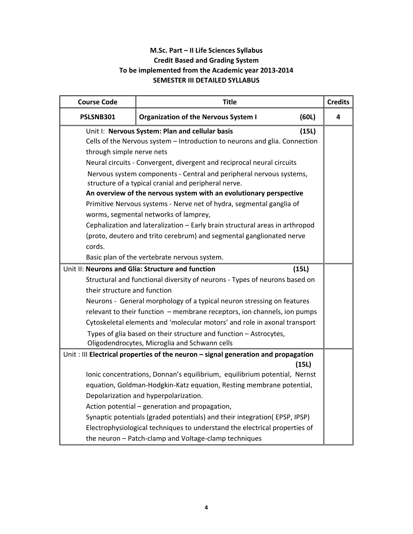# **M.Sc. Part – II Life Sciences Syllabus Credit Based and Grading System To be implemented from the Academic year 2013‐2014 SEMESTER III DETAILED SYLLABUS**

| <b>Course Code</b>           | <b>Title</b>                                                                                                                |       | <b>Credits</b> |
|------------------------------|-----------------------------------------------------------------------------------------------------------------------------|-------|----------------|
| PSLSNB301                    | <b>Organization of the Nervous System I</b>                                                                                 | (60L) | 4              |
|                              | Unit I: Nervous System: Plan and cellular basis                                                                             | (15L) |                |
|                              | Cells of the Nervous system - Introduction to neurons and glia. Connection                                                  |       |                |
| through simple nerve nets    |                                                                                                                             |       |                |
|                              | Neural circuits - Convergent, divergent and reciprocal neural circuits                                                      |       |                |
|                              | Nervous system components - Central and peripheral nervous systems,<br>structure of a typical cranial and peripheral nerve. |       |                |
|                              | An overview of the nervous system with an evolutionary perspective                                                          |       |                |
|                              | Primitive Nervous systems - Nerve net of hydra, segmental ganglia of                                                        |       |                |
|                              | worms, segmental networks of lamprey,                                                                                       |       |                |
|                              | Cephalization and lateralization - Early brain structural areas in arthropod                                                |       |                |
|                              | (proto, deutero and trito cerebrum) and segmental ganglionated nerve                                                        |       |                |
| cords.                       |                                                                                                                             |       |                |
|                              | Basic plan of the vertebrate nervous system.                                                                                |       |                |
|                              | Unit II: Neurons and Glia: Structure and function                                                                           | (15L) |                |
|                              | Structural and functional diversity of neurons - Types of neurons based on                                                  |       |                |
| their structure and function |                                                                                                                             |       |                |
|                              | Neurons - General morphology of a typical neuron stressing on features                                                      |       |                |
|                              | relevant to their function - membrane receptors, ion channels, ion pumps                                                    |       |                |
|                              | Cytoskeletal elements and 'molecular motors' and role in axonal transport                                                   |       |                |
|                              | Types of glia based on their structure and function - Astrocytes,                                                           |       |                |
|                              | Oligodendrocytes, Microglia and Schwann cells                                                                               |       |                |
|                              | Unit : III Electrical properties of the neuron - signal generation and propagation                                          |       |                |
|                              |                                                                                                                             | (15L) |                |
|                              | Ionic concentrations, Donnan's equilibrium, equilibrium potential, Nernst                                                   |       |                |
|                              | equation, Goldman-Hodgkin-Katz equation, Resting membrane potential,                                                        |       |                |
|                              | Depolarization and hyperpolarization.                                                                                       |       |                |
|                              | Action potential - generation and propagation,                                                                              |       |                |
|                              | Synaptic potentials (graded potentials) and their integration(EPSP, IPSP)                                                   |       |                |
|                              | Electrophysiological techniques to understand the electrical properties of                                                  |       |                |
|                              | the neuron - Patch-clamp and Voltage-clamp techniques                                                                       |       |                |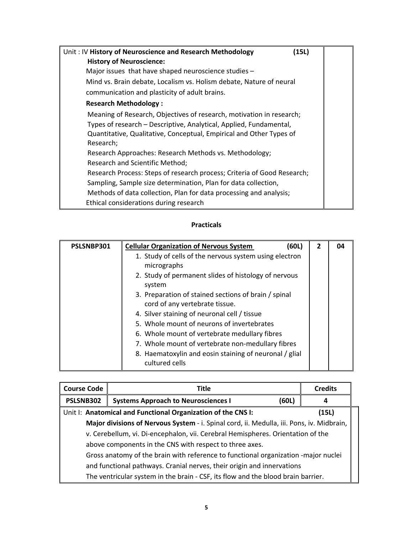| Unit: IV History of Neuroscience and Research Methodology<br>(15L)                                                                                                                                                             |  |
|--------------------------------------------------------------------------------------------------------------------------------------------------------------------------------------------------------------------------------|--|
| <b>History of Neuroscience:</b>                                                                                                                                                                                                |  |
| Major issues that have shaped neuroscience studies -                                                                                                                                                                           |  |
| Mind vs. Brain debate, Localism vs. Holism debate, Nature of neural                                                                                                                                                            |  |
| communication and plasticity of adult brains.                                                                                                                                                                                  |  |
| <b>Research Methodology:</b>                                                                                                                                                                                                   |  |
| Meaning of Research, Objectives of research, motivation in research;<br>Types of research - Descriptive, Analytical, Applied, Fundamental,<br>Quantitative, Qualitative, Conceptual, Empirical and Other Types of<br>Research; |  |
| Research Approaches: Research Methods vs. Methodology;                                                                                                                                                                         |  |
| Research and Scientific Method;                                                                                                                                                                                                |  |
| Research Process: Steps of research process; Criteria of Good Research;                                                                                                                                                        |  |
| Sampling, Sample size determination, Plan for data collection,                                                                                                                                                                 |  |
| Methods of data collection, Plan for data processing and analysis;                                                                                                                                                             |  |
| Ethical considerations during research                                                                                                                                                                                         |  |

| PSLSNBP301 | <b>Cellular Organization of Nervous System</b><br>(60L)                                | $\overline{2}$ | nд |
|------------|----------------------------------------------------------------------------------------|----------------|----|
|            | 1. Study of cells of the nervous system using electron<br>micrographs                  |                |    |
|            | 2. Study of permanent slides of histology of nervous<br>system                         |                |    |
|            | 3. Preparation of stained sections of brain / spinal<br>cord of any vertebrate tissue. |                |    |
|            | 4. Silver staining of neuronal cell / tissue                                           |                |    |
|            | 5. Whole mount of neurons of invertebrates                                             |                |    |
|            | 6. Whole mount of vertebrate medullary fibres                                          |                |    |
|            | 7. Whole mount of vertebrate non-medullary fibres                                      |                |    |
|            | 8. Haematoxylin and eosin staining of neuronal / glial<br>cultured cells               |                |    |

| <b>Course Code</b>                                                               | <b>Title</b>                                                                              |       | <b>Credits</b> |
|----------------------------------------------------------------------------------|-------------------------------------------------------------------------------------------|-------|----------------|
| PSLSNB302                                                                        | <b>Systems Approach to Neurosciences I</b>                                                | (60L) | 4              |
|                                                                                  | Unit I: Anatomical and Functional Organization of the CNS I:                              |       | (15L)          |
|                                                                                  | Major divisions of Nervous System - i. Spinal cord, ii. Medulla, iii. Pons, iv. Midbrain, |       |                |
| v. Cerebellum, vi. Di-encephalon, vii. Cerebral Hemispheres. Orientation of the  |                                                                                           |       |                |
| above components in the CNS with respect to three axes.                          |                                                                                           |       |                |
|                                                                                  | Gross anatomy of the brain with reference to functional organization -major nuclei        |       |                |
| and functional pathways. Cranial nerves, their origin and innervations           |                                                                                           |       |                |
| The ventricular system in the brain - CSF, its flow and the blood brain barrier. |                                                                                           |       |                |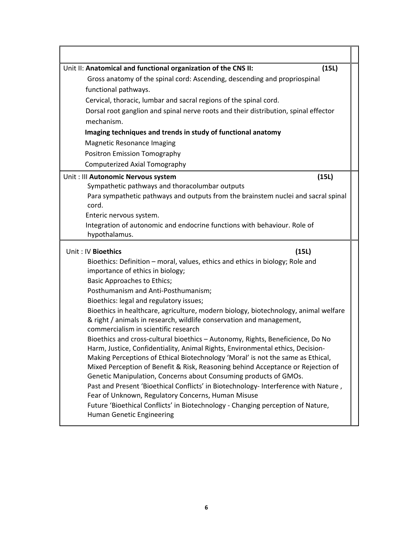| Unit II: Anatomical and functional organization of the CNS II:                                                                                              | (15L) |
|-------------------------------------------------------------------------------------------------------------------------------------------------------------|-------|
| Gross anatomy of the spinal cord: Ascending, descending and propriospinal                                                                                   |       |
| functional pathways.                                                                                                                                        |       |
| Cervical, thoracic, lumbar and sacral regions of the spinal cord.                                                                                           |       |
| Dorsal root ganglion and spinal nerve roots and their distribution, spinal effector<br>mechanism.                                                           |       |
| Imaging techniques and trends in study of functional anatomy                                                                                                |       |
| <b>Magnetic Resonance Imaging</b>                                                                                                                           |       |
| Positron Emission Tomography                                                                                                                                |       |
| <b>Computerized Axial Tomography</b>                                                                                                                        |       |
| Unit : Ill Autonomic Nervous system                                                                                                                         | (15L) |
| Sympathetic pathways and thoracolumbar outputs                                                                                                              |       |
| Para sympathetic pathways and outputs from the brainstem nuclei and sacral spinal                                                                           |       |
| cord.                                                                                                                                                       |       |
| Enteric nervous system.                                                                                                                                     |       |
| Integration of autonomic and endocrine functions with behaviour. Role of<br>hypothalamus.                                                                   |       |
|                                                                                                                                                             |       |
|                                                                                                                                                             |       |
| Unit: IV Bioethics<br>(15L)                                                                                                                                 |       |
| Bioethics: Definition – moral, values, ethics and ethics in biology; Role and                                                                               |       |
| importance of ethics in biology;                                                                                                                            |       |
| <b>Basic Approaches to Ethics;</b>                                                                                                                          |       |
| Posthumanism and Anti-Posthumanism;                                                                                                                         |       |
| Bioethics: legal and regulatory issues;                                                                                                                     |       |
| Bioethics in healthcare, agriculture, modern biology, biotechnology, animal welfare<br>& right / animals in research, wildlife conservation and management, |       |
| commercialism in scientific research                                                                                                                        |       |
| Bioethics and cross-cultural bioethics - Autonomy, Rights, Beneficience, Do No                                                                              |       |
| Harm, Justice, Confidentiality, Animal Rights, Environmental ethics, Decision-                                                                              |       |
| Making Perceptions of Ethical Biotechnology 'Moral' is not the same as Ethical,                                                                             |       |
| Mixed Perception of Benefit & Risk, Reasoning behind Acceptance or Rejection of                                                                             |       |
| Genetic Manipulation, Concerns about Consuming products of GMOs.                                                                                            |       |
| Past and Present 'Bioethical Conflicts' in Biotechnology- Interference with Nature,<br>Fear of Unknown, Regulatory Concerns, Human Misuse                   |       |
| Future 'Bioethical Conflicts' in Biotechnology - Changing perception of Nature,                                                                             |       |
| Human Genetic Engineering                                                                                                                                   |       |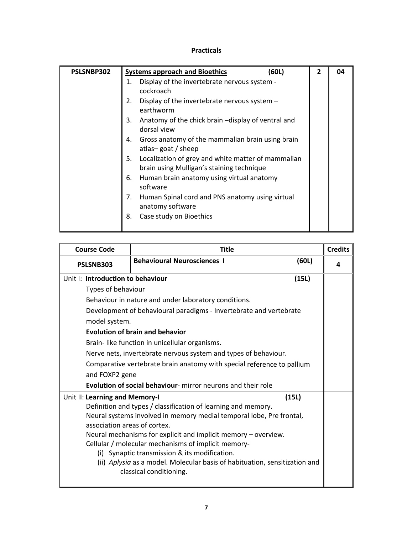| PSLSNBP302 | (60L)<br><b>Systems approach and Bioethics</b>                                                        | $\mathbf{2}$ | 04 |
|------------|-------------------------------------------------------------------------------------------------------|--------------|----|
|            | Display of the invertebrate nervous system -<br>1.                                                    |              |    |
|            | cockroach                                                                                             |              |    |
|            | Display of the invertebrate nervous system $-$<br>2.<br>earthworm                                     |              |    |
|            | 3.<br>Anatomy of the chick brain -display of ventral and<br>dorsal view                               |              |    |
|            | Gross anatomy of the mammalian brain using brain<br>4.<br>atlas-goat / sheep                          |              |    |
|            | Localization of grey and white matter of mammalian<br>5.<br>brain using Mulligan's staining technique |              |    |
|            | Human brain anatomy using virtual anatomy<br>6.<br>software                                           |              |    |
|            | Human Spinal cord and PNS anatomy using virtual<br>7.<br>anatomy software                             |              |    |
|            | Case study on Bioethics<br>8.                                                                         |              |    |

| <b>Course Code</b>                                                                                    | Title                                                                  |       | <b>Credits</b> |
|-------------------------------------------------------------------------------------------------------|------------------------------------------------------------------------|-------|----------------|
| PSLSNB303                                                                                             | <b>Behavioural Neurosciences I</b>                                     | (60L) | Δ              |
| Unit I: Introduction to behaviour                                                                     |                                                                        | (15L) |                |
| Types of behaviour                                                                                    |                                                                        |       |                |
|                                                                                                       | Behaviour in nature and under laboratory conditions.                   |       |                |
|                                                                                                       | Development of behavioural paradigms - Invertebrate and vertebrate     |       |                |
| model system.                                                                                         |                                                                        |       |                |
|                                                                                                       | <b>Evolution of brain and behavior</b>                                 |       |                |
|                                                                                                       | Brain- like function in unicellular organisms.                         |       |                |
|                                                                                                       | Nerve nets, invertebrate nervous system and types of behaviour.        |       |                |
|                                                                                                       | Comparative vertebrate brain anatomy with special reference to pallium |       |                |
| and FOXP2 gene                                                                                        |                                                                        |       |                |
| Evolution of social behaviour- mirror neurons and their role                                          |                                                                        |       |                |
| Unit II: Learning and Memory-I                                                                        |                                                                        | (15L) |                |
|                                                                                                       | Definition and types / classification of learning and memory.          |       |                |
|                                                                                                       | Neural systems involved in memory medial temporal lobe, Pre frontal,   |       |                |
| association areas of cortex.                                                                          |                                                                        |       |                |
| Neural mechanisms for explicit and implicit memory - overview.                                        |                                                                        |       |                |
| Cellular / molecular mechanisms of implicit memory-                                                   |                                                                        |       |                |
|                                                                                                       | (i) Synaptic transmission & its modification.                          |       |                |
| (ii) Aplysia as a model. Molecular basis of habituation, sensitization and<br>classical conditioning. |                                                                        |       |                |
|                                                                                                       |                                                                        |       |                |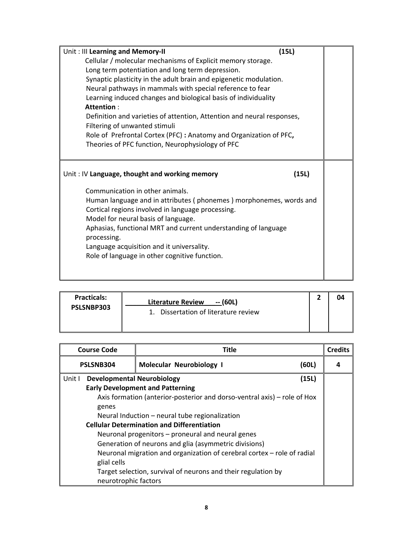| Unit: Ill Learning and Memory-II                                       |  |
|------------------------------------------------------------------------|--|
| Cellular / molecular mechanisms of Explicit memory storage.            |  |
| Long term potentiation and long term depression.                       |  |
| Synaptic plasticity in the adult brain and epigenetic modulation.      |  |
| Neural pathways in mammals with special reference to fear              |  |
| Learning induced changes and biological basis of individuality         |  |
| Attention:                                                             |  |
| Definition and varieties of attention, Attention and neural responses, |  |
| Filtering of unwanted stimuli                                          |  |
| Role of Prefrontal Cortex (PFC) : Anatomy and Organization of PFC,     |  |
| Theories of PFC function, Neurophysiology of PFC                       |  |
|                                                                        |  |
|                                                                        |  |
| Unit: IV Language, thought and working memory<br>(15L)                 |  |
| Communication in other animals.                                        |  |
| Human language and in attributes (phonemes) morphonemes, words and     |  |
| Cortical regions involved in language processing.                      |  |
| Model for neural basis of language.                                    |  |
| Aphasias, functional MRT and current understanding of language         |  |
| processing.                                                            |  |
| Language acquisition and it universality.                              |  |
| Role of language in other cognitive function.                          |  |
|                                                                        |  |
|                                                                        |  |

| <b>Practicals:</b> | -- (60L)<br><b>Literature Review</b> |  |
|--------------------|--------------------------------------|--|
| PSLSNBP303         | 1. Dissertation of literature review |  |

| <b>Course Code</b>                                | <b>Title</b>                                                             |       | <b>Credits</b> |
|---------------------------------------------------|--------------------------------------------------------------------------|-------|----------------|
| PSLSNB304                                         | Molecular Neurobiology I                                                 | (60L) |                |
| Unit I<br><b>Developmental Neurobiology</b>       |                                                                          | (15L) |                |
|                                                   | <b>Early Development and Patterning</b>                                  |       |                |
|                                                   | Axis formation (anterior-posterior and dorso-ventral axis) – role of Hox |       |                |
| genes                                             |                                                                          |       |                |
|                                                   | Neural Induction - neural tube regionalization                           |       |                |
| <b>Cellular Determination and Differentiation</b> |                                                                          |       |                |
|                                                   | Neuronal progenitors – proneural and neural genes                        |       |                |
|                                                   | Generation of neurons and glia (asymmetric divisions)                    |       |                |
|                                                   | Neuronal migration and organization of cerebral cortex - role of radial  |       |                |
| glial cells                                       |                                                                          |       |                |
|                                                   | Target selection, survival of neurons and their regulation by            |       |                |
| neurotrophic factors                              |                                                                          |       |                |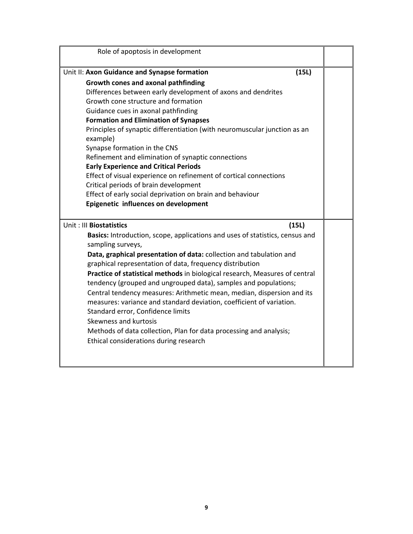| Role of apoptosis in development                                                                                                               |  |
|------------------------------------------------------------------------------------------------------------------------------------------------|--|
| (15L)<br>Unit II: Axon Guidance and Synapse formation                                                                                          |  |
| Growth cones and axonal pathfinding                                                                                                            |  |
| Differences between early development of axons and dendrites                                                                                   |  |
| Growth cone structure and formation                                                                                                            |  |
| Guidance cues in axonal pathfinding                                                                                                            |  |
| <b>Formation and Elimination of Synapses</b>                                                                                                   |  |
| Principles of synaptic differentiation (with neuromuscular junction as an<br>example)                                                          |  |
| Synapse formation in the CNS                                                                                                                   |  |
| Refinement and elimination of synaptic connections                                                                                             |  |
| <b>Early Experience and Critical Periods</b>                                                                                                   |  |
| Effect of visual experience on refinement of cortical connections                                                                              |  |
| Critical periods of brain development                                                                                                          |  |
| Effect of early social deprivation on brain and behaviour                                                                                      |  |
| Epigenetic influences on development                                                                                                           |  |
| Unit: III Biostatistics<br>(15L)                                                                                                               |  |
| Basics: Introduction, scope, applications and uses of statistics, census and<br>sampling surveys,                                              |  |
| Data, graphical presentation of data: collection and tabulation and<br>graphical representation of data, frequency distribution                |  |
| Practice of statistical methods in biological research, Measures of central<br>tendency (grouped and ungrouped data), samples and populations; |  |
| Central tendency measures: Arithmetic mean, median, dispersion and its                                                                         |  |
| measures: variance and standard deviation, coefficient of variation.                                                                           |  |
| Standard error, Confidence limits                                                                                                              |  |
| Skewness and kurtosis                                                                                                                          |  |
| Methods of data collection, Plan for data processing and analysis;                                                                             |  |
| Ethical considerations during research                                                                                                         |  |
|                                                                                                                                                |  |
|                                                                                                                                                |  |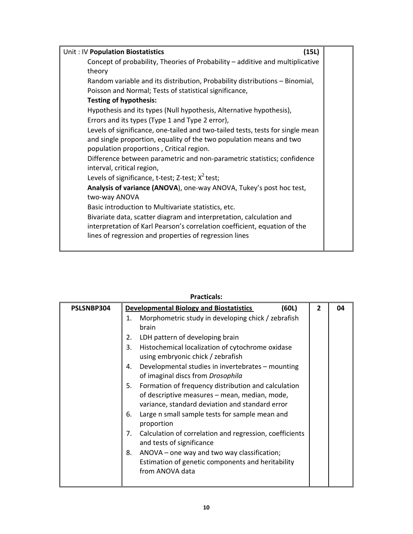| (15L)<br>Unit: IV Population Biostatistics                                                                                                                                                                 |
|------------------------------------------------------------------------------------------------------------------------------------------------------------------------------------------------------------|
| Concept of probability, Theories of Probability - additive and multiplicative<br>theory                                                                                                                    |
| Random variable and its distribution, Probability distributions - Binomial,<br>Poisson and Normal; Tests of statistical significance,                                                                      |
| <b>Testing of hypothesis:</b>                                                                                                                                                                              |
| Hypothesis and its types (Null hypothesis, Alternative hypothesis),<br>Errors and its types (Type 1 and Type 2 error),                                                                                     |
| Levels of significance, one-tailed and two-tailed tests, tests for single mean<br>and single proportion, equality of the two population means and two<br>population proportions, Critical region.          |
| Difference between parametric and non-parametric statistics; confidence<br>interval, critical region,                                                                                                      |
| Levels of significance, t-test; Z-test; $X^2$ test;<br>Analysis of variance (ANOVA), one-way ANOVA, Tukey's post hoc test,                                                                                 |
| two-way ANOVA                                                                                                                                                                                              |
| Basic introduction to Multivariate statistics, etc.                                                                                                                                                        |
| Bivariate data, scatter diagram and interpretation, calculation and<br>interpretation of Karl Pearson's correlation coefficient, equation of the<br>lines of regression and properties of regression lines |
|                                                                                                                                                                                                            |

| PSLSNBP304 | <b>Developmental Biology and Biostatistics</b><br>(60L)                                                                                                       | $\overline{2}$ | 04 |
|------------|---------------------------------------------------------------------------------------------------------------------------------------------------------------|----------------|----|
|            | Morphometric study in developing chick / zebrafish<br>1.                                                                                                      |                |    |
|            | brain                                                                                                                                                         |                |    |
|            | LDH pattern of developing brain<br>2.                                                                                                                         |                |    |
|            | Histochemical localization of cytochrome oxidase<br>3.<br>using embryonic chick / zebrafish                                                                   |                |    |
|            | Developmental studies in invertebrates - mounting<br>4.<br>of imaginal discs from Drosophila                                                                  |                |    |
|            | Formation of frequency distribution and calculation<br>5.<br>of descriptive measures – mean, median, mode,<br>variance, standard deviation and standard error |                |    |
|            | Large n small sample tests for sample mean and<br>6.<br>proportion                                                                                            |                |    |
|            | Calculation of correlation and regression, coefficients<br>7.<br>and tests of significance                                                                    |                |    |
|            | ANOVA – one way and two way classification;<br>8.<br>Estimation of genetic components and heritability<br>from ANOVA data                                     |                |    |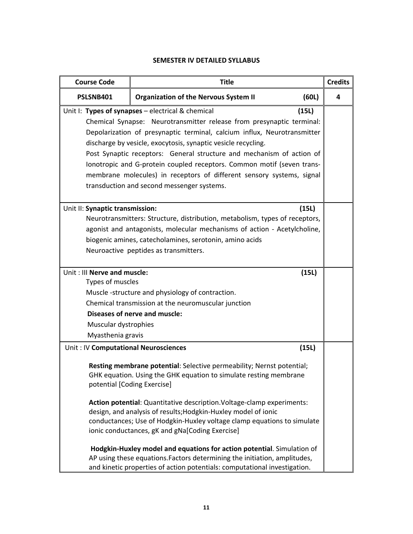## **SEMESTER IV DETAILED SYLLABUS**

| <b>Course Code</b><br><b>Title</b>                                                                                                                                                                                                                                                                                                                                                                                                                                                                                                                                                                                                                                                                                                       |                                                                                                                                                                                                                                                             | <b>Credits</b> |   |
|------------------------------------------------------------------------------------------------------------------------------------------------------------------------------------------------------------------------------------------------------------------------------------------------------------------------------------------------------------------------------------------------------------------------------------------------------------------------------------------------------------------------------------------------------------------------------------------------------------------------------------------------------------------------------------------------------------------------------------------|-------------------------------------------------------------------------------------------------------------------------------------------------------------------------------------------------------------------------------------------------------------|----------------|---|
| PSLSNB401                                                                                                                                                                                                                                                                                                                                                                                                                                                                                                                                                                                                                                                                                                                                | <b>Organization of the Nervous System II</b>                                                                                                                                                                                                                | (60L)          | 4 |
| Unit I: Types of synapses - electrical & chemical<br>(15L)<br>Chemical Synapse: Neurotransmitter release from presynaptic terminal:<br>Depolarization of presynaptic terminal, calcium influx, Neurotransmitter<br>discharge by vesicle, exocytosis, synaptic vesicle recycling.<br>Post Synaptic receptors: General structure and mechanism of action of<br>lonotropic and G-protein coupled receptors. Common motif (seven trans-<br>membrane molecules) in receptors of different sensory systems, signal<br>transduction and second messenger systems.                                                                                                                                                                               |                                                                                                                                                                                                                                                             |                |   |
| Unit II: Synaptic transmission:                                                                                                                                                                                                                                                                                                                                                                                                                                                                                                                                                                                                                                                                                                          | Neurotransmitters: Structure, distribution, metabolism, types of receptors,<br>agonist and antagonists, molecular mechanisms of action - Acetylcholine,<br>biogenic amines, catecholamines, serotonin, amino acids<br>Neuroactive peptides as transmitters. | (15L)          |   |
| Unit : III Nerve and muscle:<br>Types of muscles<br>Muscular dystrophies<br>Myasthenia gravis                                                                                                                                                                                                                                                                                                                                                                                                                                                                                                                                                                                                                                            | Muscle-structure and physiology of contraction.<br>Chemical transmission at the neuromuscular junction<br>Diseases of nerve and muscle:                                                                                                                     | (15L)          |   |
| Unit: IV Computational Neurosciences<br>(15L)<br>Resting membrane potential: Selective permeability; Nernst potential;<br>GHK equation. Using the GHK equation to simulate resting membrane<br>potential [Coding Exercise]<br>Action potential: Quantitative description. Voltage-clamp experiments:<br>design, and analysis of results; Hodgkin-Huxley model of ionic<br>conductances; Use of Hodgkin-Huxley voltage clamp equations to simulate<br>ionic conductances, gK and gNa[Coding Exercise]<br>Hodgkin-Huxley model and equations for action potential. Simulation of<br>AP using these equations. Factors determining the initiation, amplitudes,<br>and kinetic properties of action potentials: computational investigation. |                                                                                                                                                                                                                                                             |                |   |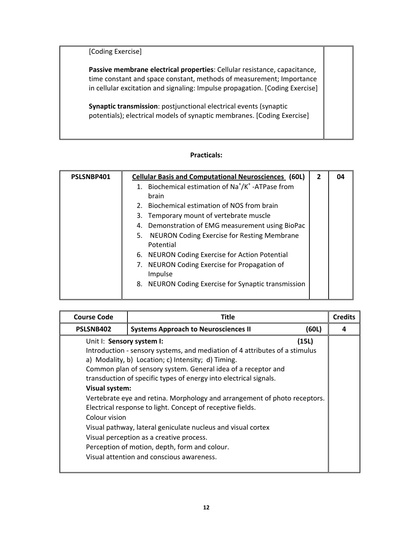[Coding Exercise]

**Passive membrane electrical properties**: Cellular resistance, capacitance, time constant and space constant, methods of measurement; Importance in cellular excitation and signaling: Impulse propagation. [Coding Exercise]

**Synaptic transmission**: postjunctional electrical events (synaptic potentials); electrical models of synaptic membranes. [Coding Exercise]

| PSLSNBP401 | <b>Cellular Basis and Computational Neurosciences (60L)</b>                  | $\overline{2}$ | 04 |
|------------|------------------------------------------------------------------------------|----------------|----|
|            | Biochemical estimation of Na <sup>+</sup> /K <sup>+</sup> -ATPase from<br>1. |                |    |
|            | brain                                                                        |                |    |
|            | Biochemical estimation of NOS from brain<br>2.                               |                |    |
|            | 3. Temporary mount of vertebrate muscle                                      |                |    |
|            | 4. Demonstration of EMG measurement using BioPac                             |                |    |
|            | NEURON Coding Exercise for Resting Membrane<br>5.                            |                |    |
|            | Potential                                                                    |                |    |
|            | 6. NEURON Coding Exercise for Action Potential                               |                |    |
|            | 7. NEURON Coding Exercise for Propagation of                                 |                |    |
|            | Impulse                                                                      |                |    |
|            | 8. NEURON Coding Exercise for Synaptic transmission                          |                |    |
|            |                                                                              |                |    |

| <b>Course Code</b>                                                  | Title                                                                                                                                                                                                                                                                                                                                                                                                                                                                                                                                                                                                                        |       | <b>Credits</b> |
|---------------------------------------------------------------------|------------------------------------------------------------------------------------------------------------------------------------------------------------------------------------------------------------------------------------------------------------------------------------------------------------------------------------------------------------------------------------------------------------------------------------------------------------------------------------------------------------------------------------------------------------------------------------------------------------------------------|-------|----------------|
| PSLSNB402                                                           | <b>Systems Approach to Neurosciences II</b>                                                                                                                                                                                                                                                                                                                                                                                                                                                                                                                                                                                  | (60L) | Δ              |
| Unit I: Sensory system I:<br><b>Visual system:</b><br>Colour vision | Introduction - sensory systems, and mediation of 4 attributes of a stimulus<br>a) Modality, b) Location; c) Intensity; d) Timing.<br>Common plan of sensory system. General idea of a receptor and<br>transduction of specific types of energy into electrical signals.<br>Vertebrate eye and retina. Morphology and arrangement of photo receptors.<br>Electrical response to light. Concept of receptive fields.<br>Visual pathway, lateral geniculate nucleus and visual cortex<br>Visual perception as a creative process.<br>Perception of motion, depth, form and colour.<br>Visual attention and conscious awareness. | (15L) |                |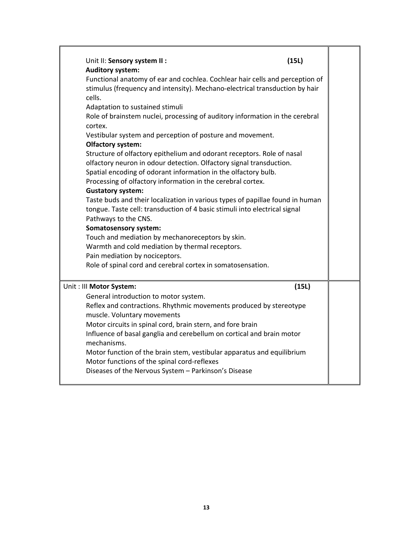| Unit II: Sensory system II:                                                      |                                                                                                                                                                                                                                                                                                                                                                                                                                     | (15L)                                                                                                                                                                                                                                       |
|----------------------------------------------------------------------------------|-------------------------------------------------------------------------------------------------------------------------------------------------------------------------------------------------------------------------------------------------------------------------------------------------------------------------------------------------------------------------------------------------------------------------------------|---------------------------------------------------------------------------------------------------------------------------------------------------------------------------------------------------------------------------------------------|
| <b>Auditory system:</b>                                                          |                                                                                                                                                                                                                                                                                                                                                                                                                                     |                                                                                                                                                                                                                                             |
| cells.<br>Adaptation to sustained stimuli<br>cortex.<br><b>Olfactory system:</b> | Vestibular system and perception of posture and movement.<br>Structure of olfactory epithelium and odorant receptors. Role of nasal<br>olfactory neuron in odour detection. Olfactory signal transduction.                                                                                                                                                                                                                          | Functional anatomy of ear and cochlea. Cochlear hair cells and perception of<br>stimulus (frequency and intensity). Mechano-electrical transduction by hair<br>Role of brainstem nuclei, processing of auditory information in the cerebral |
|                                                                                  | Spatial encoding of odorant information in the olfactory bulb.<br>Processing of olfactory information in the cerebral cortex.                                                                                                                                                                                                                                                                                                       |                                                                                                                                                                                                                                             |
| <b>Gustatory system:</b><br>Pathways to the CNS.<br><b>Somatosensory system:</b> | tongue. Taste cell: transduction of 4 basic stimuli into electrical signal                                                                                                                                                                                                                                                                                                                                                          | Taste buds and their localization in various types of papillae found in human                                                                                                                                                               |
| Pain mediation by nociceptors.                                                   | Touch and mediation by mechanoreceptors by skin.<br>Warmth and cold mediation by thermal receptors.                                                                                                                                                                                                                                                                                                                                 |                                                                                                                                                                                                                                             |
|                                                                                  | Role of spinal cord and cerebral cortex in somatosensation.                                                                                                                                                                                                                                                                                                                                                                         |                                                                                                                                                                                                                                             |
| Unit : III Motor System:                                                         |                                                                                                                                                                                                                                                                                                                                                                                                                                     | (15L)                                                                                                                                                                                                                                       |
| muscle. Voluntary movements<br>mechanisms.                                       | General introduction to motor system.<br>Reflex and contractions. Rhythmic movements produced by stereotype<br>Motor circuits in spinal cord, brain stern, and fore brain<br>Influence of basal ganglia and cerebellum on cortical and brain motor<br>Motor function of the brain stem, vestibular apparatus and equilibrium<br>Motor functions of the spinal cord-reflexes<br>Diseases of the Nervous System - Parkinson's Disease |                                                                                                                                                                                                                                             |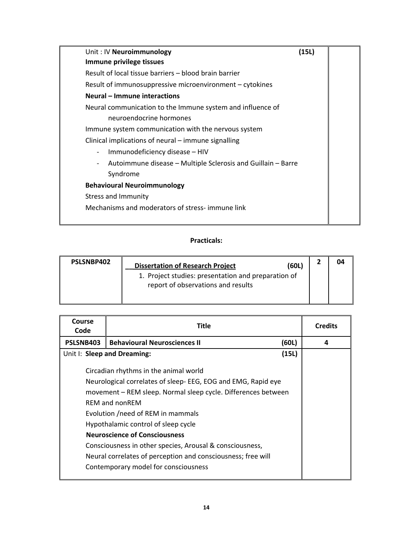| Unit: IV Neuroimmunology                                     | (15L) |  |
|--------------------------------------------------------------|-------|--|
| Immune privilege tissues                                     |       |  |
| Result of local tissue barriers – blood brain barrier        |       |  |
| Result of immunosuppressive microenvironment - cytokines     |       |  |
| Neural – Immune interactions                                 |       |  |
| Neural communication to the Immune system and influence of   |       |  |
| neuroendocrine hormones                                      |       |  |
| Immune system communication with the nervous system          |       |  |
| Clinical implications of neural – immune signalling          |       |  |
| Immunodeficiency disease - HIV<br>$\overline{\phantom{a}}$   |       |  |
| Autoimmune disease - Multiple Sclerosis and Guillain - Barre |       |  |
| Syndrome                                                     |       |  |
| <b>Behavioural Neuroimmunology</b>                           |       |  |
| <b>Stress and Immunity</b>                                   |       |  |
| Mechanisms and moderators of stress-immune link              |       |  |
|                                                              |       |  |

| PSLSNBP402 | <b>Dissertation of Research Project</b>                                                   | (60L) | 04 |
|------------|-------------------------------------------------------------------------------------------|-------|----|
|            | 1. Project studies: presentation and preparation of<br>report of observations and results |       |    |

| <b>Course</b><br>Code                                                                                                                                            | <b>Title</b>                                                                                                                                                                                                                          |       | <b>Credits</b> |
|------------------------------------------------------------------------------------------------------------------------------------------------------------------|---------------------------------------------------------------------------------------------------------------------------------------------------------------------------------------------------------------------------------------|-------|----------------|
| PSLSNB403                                                                                                                                                        | <b>Behavioural Neurosciences II</b>                                                                                                                                                                                                   | (60L) | 4              |
|                                                                                                                                                                  | Unit I: Sleep and Dreaming:                                                                                                                                                                                                           | (15L) |                |
|                                                                                                                                                                  | Circadian rhythms in the animal world<br>Neurological correlates of sleep- EEG, EOG and EMG, Rapid eye<br>movement – REM sleep. Normal sleep cycle. Differences between<br><b>REM and nonREM</b><br>Evolution /need of REM in mammals |       |                |
| Hypothalamic control of sleep cycle<br><b>Neuroscience of Consciousness</b>                                                                                      |                                                                                                                                                                                                                                       |       |                |
| Consciousness in other species, Arousal & consciousness,<br>Neural correlates of perception and consciousness; free will<br>Contemporary model for consciousness |                                                                                                                                                                                                                                       |       |                |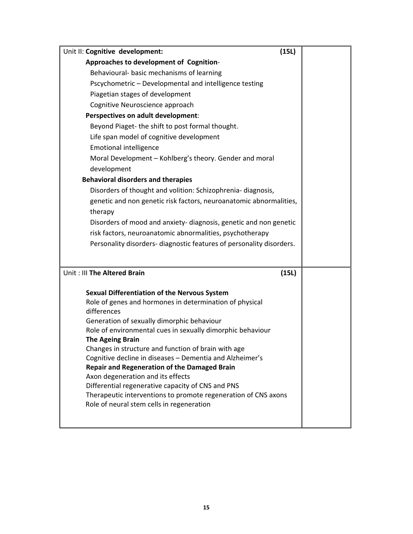| Approaches to development of Cognition-<br>Behavioural- basic mechanisms of learning<br>Pscychometric - Developmental and intelligence testing<br>Piagetian stages of development<br>Cognitive Neuroscience approach<br>Perspectives on adult development:<br>Beyond Piaget- the shift to post formal thought.<br>Life span model of cognitive development<br><b>Emotional intelligence</b><br>Moral Development - Kohlberg's theory. Gender and moral |
|--------------------------------------------------------------------------------------------------------------------------------------------------------------------------------------------------------------------------------------------------------------------------------------------------------------------------------------------------------------------------------------------------------------------------------------------------------|
|                                                                                                                                                                                                                                                                                                                                                                                                                                                        |
|                                                                                                                                                                                                                                                                                                                                                                                                                                                        |
|                                                                                                                                                                                                                                                                                                                                                                                                                                                        |
|                                                                                                                                                                                                                                                                                                                                                                                                                                                        |
|                                                                                                                                                                                                                                                                                                                                                                                                                                                        |
|                                                                                                                                                                                                                                                                                                                                                                                                                                                        |
|                                                                                                                                                                                                                                                                                                                                                                                                                                                        |
|                                                                                                                                                                                                                                                                                                                                                                                                                                                        |
|                                                                                                                                                                                                                                                                                                                                                                                                                                                        |
|                                                                                                                                                                                                                                                                                                                                                                                                                                                        |
| development                                                                                                                                                                                                                                                                                                                                                                                                                                            |
| <b>Behavioral disorders and therapies</b>                                                                                                                                                                                                                                                                                                                                                                                                              |
| Disorders of thought and volition: Schizophrenia- diagnosis,                                                                                                                                                                                                                                                                                                                                                                                           |
| genetic and non genetic risk factors, neuroanatomic abnormalities,                                                                                                                                                                                                                                                                                                                                                                                     |
| therapy                                                                                                                                                                                                                                                                                                                                                                                                                                                |
| Disorders of mood and anxiety- diagnosis, genetic and non genetic                                                                                                                                                                                                                                                                                                                                                                                      |
| risk factors, neuroanatomic abnormalities, psychotherapy                                                                                                                                                                                                                                                                                                                                                                                               |
| Personality disorders- diagnostic features of personality disorders.                                                                                                                                                                                                                                                                                                                                                                                   |
|                                                                                                                                                                                                                                                                                                                                                                                                                                                        |
| Unit: III The Altered Brain<br>(15L)                                                                                                                                                                                                                                                                                                                                                                                                                   |
| <b>Sexual Differentiation of the Nervous System</b>                                                                                                                                                                                                                                                                                                                                                                                                    |
| Role of genes and hormones in determination of physical                                                                                                                                                                                                                                                                                                                                                                                                |
| differences                                                                                                                                                                                                                                                                                                                                                                                                                                            |
| Generation of sexually dimorphic behaviour                                                                                                                                                                                                                                                                                                                                                                                                             |
| Role of environmental cues in sexually dimorphic behaviour                                                                                                                                                                                                                                                                                                                                                                                             |
| <b>The Ageing Brain</b>                                                                                                                                                                                                                                                                                                                                                                                                                                |
| Changes in structure and function of brain with age<br>Cognitive decline in diseases - Dementia and Alzheimer's                                                                                                                                                                                                                                                                                                                                        |
| <b>Repair and Regeneration of the Damaged Brain</b>                                                                                                                                                                                                                                                                                                                                                                                                    |
| Axon degeneration and its effects                                                                                                                                                                                                                                                                                                                                                                                                                      |
| Differential regenerative capacity of CNS and PNS                                                                                                                                                                                                                                                                                                                                                                                                      |
| Therapeutic interventions to promote regeneration of CNS axons                                                                                                                                                                                                                                                                                                                                                                                         |
| Role of neural stem cells in regeneration                                                                                                                                                                                                                                                                                                                                                                                                              |
|                                                                                                                                                                                                                                                                                                                                                                                                                                                        |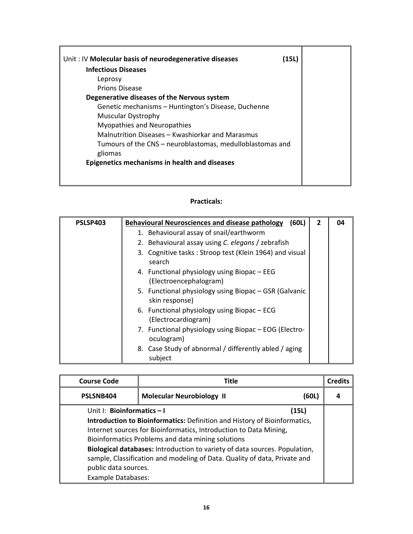| Unit: IV Molecular basis of neurodegenerative diseases<br>(15L) |
|-----------------------------------------------------------------|
| <b>Infectious Diseases</b>                                      |
| Leprosy                                                         |
| <b>Prions Disease</b>                                           |
| Degenerative diseases of the Nervous system                     |
| Genetic mechanisms - Huntington's Disease, Duchenne             |
| <b>Muscular Dystrophy</b>                                       |
| <b>Myopathies and Neuropathies</b>                              |
| Malnutrition Diseases – Kwashiorkar and Marasmus                |
| Tumours of the CNS – neuroblastomas, medulloblastomas and       |
| gliomas                                                         |
| Epigenetics mechanisms in health and diseases                   |
|                                                                 |
|                                                                 |

| PSLSP403 | <b>Behavioural Neurosciences and disease pathology</b><br>(60L)         | $\overline{2}$ | 04 |
|----------|-------------------------------------------------------------------------|----------------|----|
|          | 1. Behavioural assay of snail/earthworm                                 |                |    |
|          | 2. Behavioural assay using C. elegans / zebrafish                       |                |    |
|          | 3. Cognitive tasks: Stroop test (Klein 1964) and visual<br>search       |                |    |
|          | 4. Functional physiology using Biopac - EEG<br>(Electroencephalogram)   |                |    |
|          | 5. Functional physiology using Biopac – GSR (Galvanic<br>skin response) |                |    |
|          | 6. Functional physiology using Biopac – ECG<br>(Electrocardiogram)      |                |    |
|          | 7. Functional physiology using Biopac - EOG (Electro-<br>oculogram)     |                |    |
|          | 8. Case Study of abnormal / differently abled / aging<br>subject        |                |    |

| <b>Course Code</b>                                                         | Title                                                                     |       | <b>Credits</b> |
|----------------------------------------------------------------------------|---------------------------------------------------------------------------|-------|----------------|
| PSLSNB404                                                                  | <b>Molecular Neurobiology II</b>                                          | (60L) |                |
| Unit I: Bioinformatics - I                                                 |                                                                           | (15L) |                |
|                                                                            | Introduction to Bioinformatics: Definition and History of Bioinformatics, |       |                |
|                                                                            | Internet sources for Bioinformatics, Introduction to Data Mining,         |       |                |
| Bioinformatics Problems and data mining solutions                          |                                                                           |       |                |
| Biological databases: Introduction to variety of data sources. Population, |                                                                           |       |                |
|                                                                            | sample, Classification and modeling of Data. Quality of data, Private and |       |                |
| public data sources.                                                       |                                                                           |       |                |
| <b>Example Databases:</b>                                                  |                                                                           |       |                |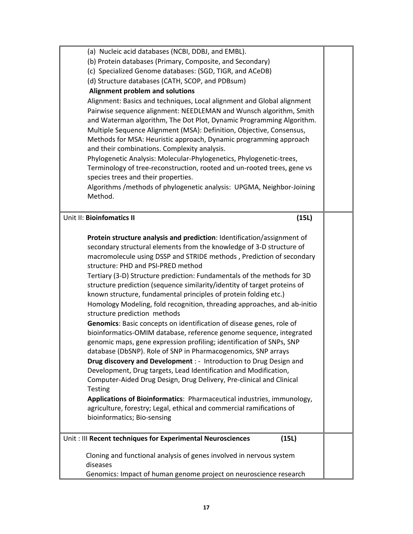| (a) Nucleic acid databases (NCBI, DDBJ, and EMBL).                                |  |
|-----------------------------------------------------------------------------------|--|
| (b) Protein databases (Primary, Composite, and Secondary)                         |  |
| (c) Specialized Genome databases: (SGD, TIGR, and ACeDB)                          |  |
| (d) Structure databases (CATH, SCOP, and PDBsum)                                  |  |
| Alignment problem and solutions                                                   |  |
| Alignment: Basics and techniques, Local alignment and Global alignment            |  |
| Pairwise sequence alignment: NEEDLEMAN and Wunsch algorithm, Smith                |  |
| and Waterman algorithm, The Dot Plot, Dynamic Programming Algorithm.              |  |
| Multiple Sequence Alignment (MSA): Definition, Objective, Consensus,              |  |
| Methods for MSA: Heuristic approach, Dynamic programming approach                 |  |
| and their combinations. Complexity analysis.                                      |  |
| Phylogenetic Analysis: Molecular-Phylogenetics, Phylogenetic-trees,               |  |
| Terminology of tree-reconstruction, rooted and un-rooted trees, gene vs           |  |
| species trees and their properties.                                               |  |
| Algorithms / methods of phylogenetic analysis: UPGMA, Neighbor-Joining<br>Method. |  |
|                                                                                   |  |
| Unit II: Bioinfomatics II                                                         |  |
| (15L)                                                                             |  |
| Protein structure analysis and prediction: Identification/assignment of           |  |
| secondary structural elements from the knowledge of 3-D structure of              |  |
| macromolecule using DSSP and STRIDE methods, Prediction of secondary              |  |
| structure: PHD and PSI-PRED method                                                |  |
| Tertiary (3-D) Structure prediction: Fundamentals of the methods for 3D           |  |
| structure prediction (sequence similarity/identity of target proteins of          |  |
| known structure, fundamental principles of protein folding etc.)                  |  |
| Homology Modeling, fold recognition, threading approaches, and ab-initio          |  |
| structure prediction methods                                                      |  |
| Genomics: Basic concepts on identification of disease genes, role of              |  |
| bioinformatics-OMIM database, reference genome sequence, integrated               |  |
| genomic maps, gene expression profiling; identification of SNPs, SNP              |  |
| database (DbSNP). Role of SNP in Pharmacogenomics, SNP arrays                     |  |
| Drug discovery and Development : - Introduction to Drug Design and                |  |
| Development, Drug targets, Lead Identification and Modification,                  |  |
| Computer-Aided Drug Design, Drug Delivery, Pre-clinical and Clinical              |  |
| <b>Testing</b>                                                                    |  |
| Applications of Bioinformatics: Pharmaceutical industries, immunology,            |  |
| agriculture, forestry; Legal, ethical and commercial ramifications of             |  |
| bioinformatics; Bio-sensing                                                       |  |
| Unit: III Recent techniques for Experimental Neurosciences<br>(15L)               |  |
|                                                                                   |  |
| Cloning and functional analysis of genes involved in nervous system               |  |
| diseases<br>Genomics: Impact of human genome project on neuroscience research     |  |
|                                                                                   |  |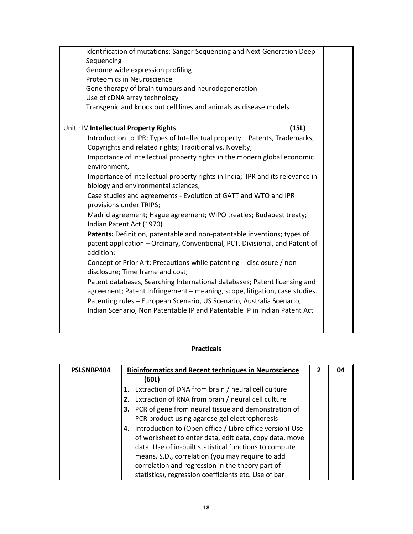| Identification of mutations: Sanger Sequencing and Next Generation Deep                                                                                             |  |
|---------------------------------------------------------------------------------------------------------------------------------------------------------------------|--|
| Sequencing<br>Genome wide expression profiling                                                                                                                      |  |
| Proteomics in Neuroscience                                                                                                                                          |  |
| Gene therapy of brain tumours and neurodegeneration                                                                                                                 |  |
| Use of cDNA array technology                                                                                                                                        |  |
| Transgenic and knock out cell lines and animals as disease models                                                                                                   |  |
|                                                                                                                                                                     |  |
| Unit: IV Intellectual Property Rights<br>(15L)                                                                                                                      |  |
| Introduction to IPR; Types of Intellectual property - Patents, Trademarks,<br>Copyrights and related rights; Traditional vs. Novelty;                               |  |
| Importance of intellectual property rights in the modern global economic<br>environment,                                                                            |  |
| Importance of intellectual property rights in India; IPR and its relevance in<br>biology and environmental sciences;                                                |  |
| Case studies and agreements - Evolution of GATT and WTO and IPR<br>provisions under TRIPS;                                                                          |  |
| Madrid agreement; Hague agreement; WIPO treaties; Budapest treaty;<br>Indian Patent Act (1970)                                                                      |  |
| Patents: Definition, patentable and non-patentable inventions; types of<br>patent application - Ordinary, Conventional, PCT, Divisional, and Patent of<br>addition; |  |
| Concept of Prior Art; Precautions while patenting - disclosure / non-<br>disclosure; Time frame and cost;                                                           |  |
| Patent databases, Searching International databases; Patent licensing and<br>agreement; Patent infringement - meaning, scope, litigation, case studies.             |  |
| Patenting rules - European Scenario, US Scenario, Australia Scenario,<br>Indian Scenario, Non Patentable IP and Patentable IP in Indian Patent Act                  |  |
|                                                                                                                                                                     |  |

| PSLSNBP404 | <b>Bioinformatics and Recent techniques in Neuroscience</b>    | 2 | 04 |
|------------|----------------------------------------------------------------|---|----|
|            | (60L)                                                          |   |    |
|            | Extraction of DNA from brain / neural cell culture<br>1.       |   |    |
|            | 2. Extraction of RNA from brain / neural cell culture          |   |    |
|            | 3. PCR of gene from neural tissue and demonstration of         |   |    |
|            | PCR product using agarose gel electrophoresis                  |   |    |
|            | Introduction to (Open office / Libre office version) Use<br>4. |   |    |
|            | of worksheet to enter data, edit data, copy data, move         |   |    |
|            | data. Use of in-built statistical functions to compute         |   |    |
|            | means, S.D., correlation (you may require to add               |   |    |
|            | correlation and regression in the theory part of               |   |    |
|            | statistics), regression coefficients etc. Use of bar           |   |    |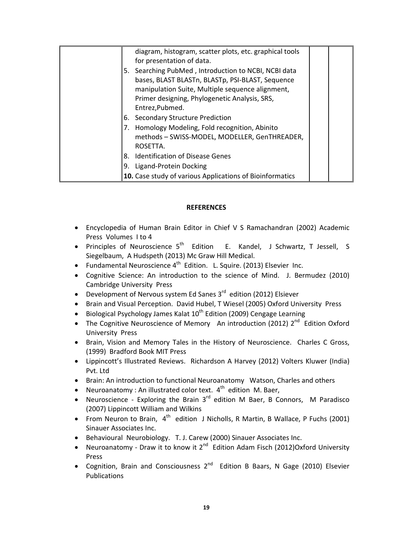|    | diagram, histogram, scatter plots, etc. graphical tools<br>for presentation of data.                                                                                                                                             |
|----|----------------------------------------------------------------------------------------------------------------------------------------------------------------------------------------------------------------------------------|
|    | 5. Searching PubMed, Introduction to NCBI, NCBI data<br>bases, BLAST BLASTn, BLASTp, PSI-BLAST, Sequence<br>manipulation Suite, Multiple sequence alignment,<br>Primer designing, Phylogenetic Analysis, SRS,<br>Entrez, Pubmed. |
|    | 6. Secondary Structure Prediction                                                                                                                                                                                                |
| 7. | Homology Modeling, Fold recognition, Abinito<br>methods - SWISS-MODEL, MODELLER, GenTHREADER,<br>ROSETTA.                                                                                                                        |
|    | 8. Identification of Disease Genes                                                                                                                                                                                               |
|    | 9. Ligand-Protein Docking                                                                                                                                                                                                        |
|    | 10. Case study of various Applications of Bioinformatics                                                                                                                                                                         |

### **REFERENCES**

- Encyclopedia of Human Brain Editor in Chief V S Ramachandran (2002) Academic Press Volumes I to 4
- Principles of Neuroscience  $5<sup>th</sup>$  Edition E. Kandel, J Schwartz, T Jessell, S Siegelbaum, A Hudspeth (2013) Mc Graw Hill Medical.
- Fundamental Neuroscience  $4^{th}$  Edition. L. Squire. (2013) Elsevier Inc.
- Cognitive Science: An introduction to the science of Mind. J. Bermudez (2010) Cambridge University Press
- Development of Nervous system Ed Sanes  $3<sup>rd</sup>$  edition (2012) Elsiever
- Brain and Visual Perception. David Hubel, T Wiesel (2005) Oxford University Press
- Biological Psychology James Kalat 10<sup>th</sup> Edition (2009) Cengage Learning
- The Cognitive Neuroscience of Memory An introduction (2012)  $2^{nd}$  Edition Oxford University Press
- Brain, Vision and Memory Tales in the History of Neuroscience. Charles C Gross, (1999) Bradford Book MIT Press
- Lippincott's Illustrated Reviews. Richardson A Harvey (2012) Volters Kluwer (India) Pvt. Ltd
- Brain: An introduction to functional Neuroanatomy Watson, Charles and others
- Neuroanatomy : An illustrated color text.  $4<sup>th</sup>$  edition M. Baer,
- Neuroscience Exploring the Brain  $3<sup>rd</sup>$  edition M Baer, B Connors, M Paradisco (2007) Lippincott William and Wilkins
- From Neuron to Brain,  $4<sup>th</sup>$  edition J Nicholls, R Martin, B Wallace, P Fuchs (2001) Sinauer Associates Inc.
- Behavioural Neurobiology. T. J. Carew (2000) Sinauer Associates Inc.
- Neuroanatomy Draw it to know it 2<sup>nd</sup> Edition Adam Fisch (2012)Oxford University Press
- Cognition, Brain and Consciousness  $2^{nd}$  Edition B Baars, N Gage (2010) Elsevier Publications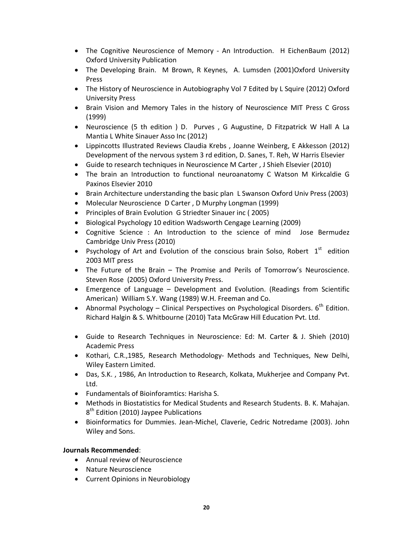- The Cognitive Neuroscience of Memory An Introduction. H EichenBaum (2012) Oxford University Publication
- The Developing Brain. M Brown, R Keynes, A. Lumsden (2001)Oxford University Press
- The History of Neuroscience in Autobiography Vol 7 Edited by L Squire (2012) Oxford University Press
- Brain Vision and Memory Tales in the history of Neuroscience MIT Press C Gross (1999)
- Neuroscience (5 th edition ) D. Purves , G Augustine, D Fitzpatrick W Hall A La Mantia L White Sinauer Asso Inc (2012)
- Lippincotts Illustrated Reviews Claudia Krebs , Joanne Weinberg, E Akkesson (2012) Development of the nervous system 3 rd edition, D. Sanes, T. Reh, W Harris Elsevier
- Guide to research techniques in Neuroscience M Carter , J Shieh Elsevier (2010)
- The brain an Introduction to functional neuroanatomy C Watson M Kirkcaldie G Paxinos Elsevier 2010
- Brain Architecture understanding the basic plan L Swanson Oxford Univ Press (2003)
- Molecular Neuroscience D Carter, D Murphy Longman (1999)
- Principles of Brain Evolution G Striedter Sinauer inc ( 2005)
- Biological Psychology 10 edition Wadsworth Cengage Learning (2009)
- Cognitive Science : An Introduction to the science of mind Jose Bermudez Cambridge Univ Press (2010)
- Psychology of Art and Evolution of the conscious brain Solso, Robert  $1<sup>st</sup>$  edition 2003 MIT press
- The Future of the Brain The Promise and Perils of Tomorrow's Neuroscience. Steven Rose (2005) Oxford University Press.
- Emergence of Language Development and Evolution. (Readings from Scientific American) William S.Y. Wang (1989) W.H. Freeman and Co.
- Abnormal Psychology Clinical Perspectives on Psychological Disorders.  $6^{th}$  Edition. Richard Halgin & S. Whitbourne (2010) Tata McGraw Hill Education Pvt. Ltd.
- Guide to Research Techniques in Neuroscience: Ed: M. Carter & J. Shieh (2010) Academic Press
- Kothari, C.R.,1985, Research Methodology- Methods and Techniques, New Delhi, Wiley Eastern Limited.
- Das, S.K. , 1986, An Introduction to Research, Kolkata, Mukherjee and Company Pvt. Ltd.
- Fundamentals of Bioinforamtics: Harisha S.
- Methods in Biostatistics for Medical Students and Research Students. B. K. Mahajan. 8<sup>th</sup> Edition (2010) Jaypee Publications
- Bioinformatics for Dummies. Jean‐Michel, Claverie, Cedric Notredame (2003). John Wiley and Sons.

## **Journals Recommended**:

- Annual review of Neuroscience
- Nature Neuroscience
- Current Opinions in Neurobiology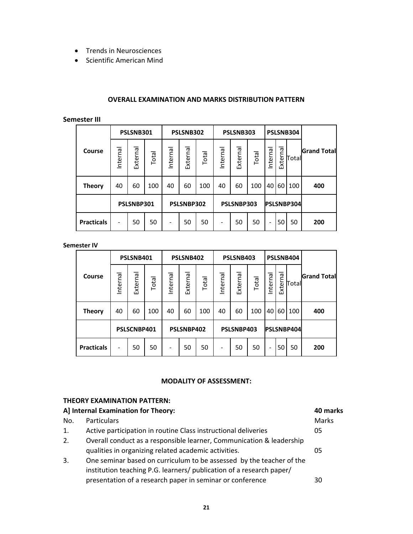- Trends in Neurosciences
- Scientific American Mind

#### **OVERALL EXAMINATION AND MARKS DISTRIBUTION PATTERN**

#### **Semester III**

|                   |                          | PSLSNB301  |       |          | PSLSNB302  |       | PSLSNB303 |            |       | PSLSNB304                |                 |        |                    |
|-------------------|--------------------------|------------|-------|----------|------------|-------|-----------|------------|-------|--------------------------|-----------------|--------|--------------------|
| Course            | Internal                 | External   | Total | Internal | External   | Total | Internal  | External   | Total | Internal                 | ത<br>ξ<br>Exter | Totall | <b>Grand Total</b> |
| <b>Theory</b>     | 40                       | 60         | 100   | 40       | 60         | 100   | 40        | 60         | 100   | 40                       | 60              | 100    | 400                |
|                   |                          | PSLSNBP301 |       |          | PSLSNBP302 |       |           | PSLSNBP303 |       | PSLSNBP304               |                 |        |                    |
| <b>Practicals</b> | $\overline{\phantom{a}}$ | 50         | 50    |          | 50         | 50    |           | 50         | 50    | $\overline{\phantom{a}}$ | 50              | 50     | 200                |

**Semester IV**

| PSLSNB401         |                          |             |       |          | PSLSNB402  |       | PSLSNB403 | PSLSNB404  |       |                          |                                          |        |                    |
|-------------------|--------------------------|-------------|-------|----------|------------|-------|-----------|------------|-------|--------------------------|------------------------------------------|--------|--------------------|
| Course            | Internal                 | External    | Total | Internal | External   | Total | Internal  | External   | Total | Internal                 | $\boldsymbol{\sigma}$<br>č<br>⊆<br>Exter | Totall | <b>Grand Total</b> |
| <b>Theory</b>     | 40                       | 60          | 100   | 40       | 60         | 100   | 40        | 60         | 100   | 40                       | 60                                       | 100    | 400                |
|                   |                          | PSLSCNBP401 |       |          | PSLSNBP402 |       |           | PSLSNBP403 |       | <b>PSLSNBP404</b>        |                                          |        |                    |
| <b>Practicals</b> | $\overline{\phantom{a}}$ | 50          | 50    | -        | 50         | 50    | -         | 50         | 50    | $\overline{\phantom{a}}$ | 50                                       | 50     | 200                |

#### **MODALITY OF ASSESSMENT:**

# **THEORY EXAMINATION PATTERN:**

| A] Internal Examination for Theory: |                                                                      |       |  |  |  |
|-------------------------------------|----------------------------------------------------------------------|-------|--|--|--|
| No.                                 | Particulars                                                          | Marks |  |  |  |
| 1.                                  | Active participation in routine Class instructional deliveries       | 05    |  |  |  |
| 2.                                  | Overall conduct as a responsible learner, Communication & leadership |       |  |  |  |
|                                     | qualities in organizing related academic activities.                 | 05    |  |  |  |
| 3.                                  | One seminar based on curriculum to be assessed by the teacher of the |       |  |  |  |
|                                     | institution teaching P.G. learners/ publication of a research paper/ |       |  |  |  |
|                                     | presentation of a research paper in seminar or conference            | 30    |  |  |  |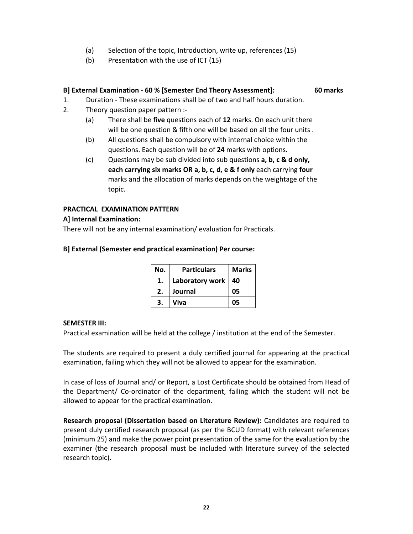- (a) Selection of the topic, Introduction, write up, references (15)
- (b) Presentation with the use of ICT (15)

## **B] External Examination ‐ 60 % [Semester End Theory Assessment]: 60 marks**

- 1. Duration ‐ These examinations shall be of two and half hours duration.
- 2. Theory question paper pattern :‐
	- (a) There shall be **five** questions each of **12** marks. On each unit there will be one question & fifth one will be based on all the four units .
	- (b) All questions shall be compulsory with internal choice within the questions. Each question will be of **24** marks with options.
	- (c) Questions may be sub divided into sub questions **a, b, c & d only, each carrying six marks OR a, b, c, d, e & f only** each carrying **four** marks and the allocation of marks depends on the weightage of the topic.

## **PRACTICAL EXAMINATION PATTERN**

### **A] Internal Examination:**

There will not be any internal examination/ evaluation for Practicals.

| No. | <b>Particulars</b> | <b>Marks</b> |
|-----|--------------------|--------------|
|     | Laboratory work    | 40           |
| 2.  | Journal            | 05           |
| 3.  | Viva               | 05           |

### **B] External (Semester end practical examination) Per course:**

### **SEMESTER III:**

Practical examination will be held at the college / institution at the end of the Semester.

The students are required to present a duly certified journal for appearing at the practical examination, failing which they will not be allowed to appear for the examination.

In case of loss of Journal and/ or Report, a Lost Certificate should be obtained from Head of the Department/ Co‐ordinator of the department, failing which the student will not be allowed to appear for the practical examination.

**Research proposal (Dissertation based on Literature Review):** Candidates are required to present duly certified research proposal (as per the BCUD format) with relevant references (minimum 25) and make the power point presentation of the same for the evaluation by the examiner (the research proposal must be included with literature survey of the selected research topic).